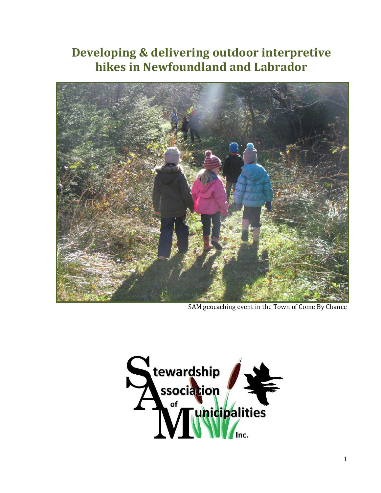## **Developing & delivering outdoor interpretive hikes in Newfoundland and Labrador**



SAM geocaching event in the Town of Come By Chance

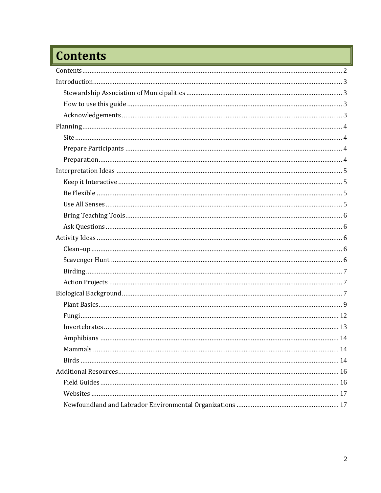# <span id="page-1-0"></span>Contents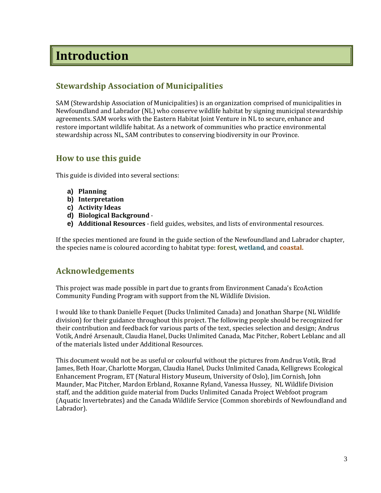## <span id="page-2-0"></span>**Introduction**

## <span id="page-2-1"></span>**Stewardship Association of Municipalities**

SAM (Stewardship Association of Municipalities) is an organization comprised of municipalities in Newfoundland and Labrador (NL) who conserve wildlife habitat by signing municipal stewardship agreements. SAM works with the Eastern Habitat Joint Venture in NL to secure, enhance and restore important wildlife habitat. As a network of communities who practice environmental stewardship across NL, SAM contributes to conserving biodiversity in our Province.

## <span id="page-2-2"></span>**How to use this guide**

This guide is divided into several sections:

- **a) Planning**
- **b) Interpretation**
- **c) Activity Ideas**
- **d) Biological Background** -
- **e) Additional Resources** field guides, websites, and lists of environmental resources.

If the species mentioned are found in the guide section of the Newfoundland and Labrador chapter, the species name is coloured according to habitat type: **forest**, **wetland**, and **coastal.**

## <span id="page-2-3"></span>**Acknowledgements**

This project was made possible in part due to grants from Environment Canada's EcoAction Community Funding Program with support from the NL Wildlife Division.

I would like to thank Danielle Fequet (Ducks Unlimited Canada) and Jonathan Sharpe (NL Wildlife division) for their guidance throughout this project. The following people should be recognized for their contribution and feedback for various parts of the text, species selection and design; Andrus Votik, André Arsenault, Claudia Hanel, Ducks Unlimited Canada, Mac Pitcher, Robert Leblanc and all of the materials listed under Additional Resources.

This document would not be as useful or colourful without the pictures from Andrus Votik, Brad James, Beth Hoar, Charlotte Morgan, Claudia Hanel, Ducks Unlimited Canada, Kelligrews Ecological Enhancement Program, ET (Natural History Museum, University of Oslo), Jim Cornish, John Maunder, Mac Pitcher, Mardon Erbland, Roxanne Ryland, Vanessa Hussey, NL Wildlife Division staff, and the addition guide material from Ducks Unlimited Canada Project Webfoot program (Aquatic Invertebrates) and the Canada Wildlife Service (Common shorebirds of Newfoundland and Labrador).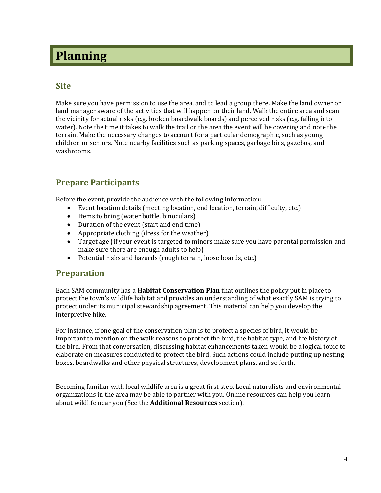## <span id="page-3-0"></span>**Planning**

## <span id="page-3-1"></span>**Site**

Make sure you have permission to use the area, and to lead a group there. Make the land owner or land manager aware of the activities that will happen on their land. Walk the entire area and scan the vicinity for actual risks (e.g. broken boardwalk boards) and perceived risks (e.g. falling into water). Note the time it takes to walk the trail or the area the event will be covering and note the terrain. Make the necessary changes to account for a particular demographic, such as young children or seniors. Note nearby facilities such as parking spaces, garbage bins, gazebos, and washrooms.

## <span id="page-3-2"></span>**Prepare Participants**

Before the event, provide the audience with the following information:

- Event location details (meeting location, end location, terrain, difficulty, etc.)
- Items to bring (water bottle, binoculars)
- Duration of the event (start and end time)
- Appropriate clothing (dress for the weather)
- Target age (if your event is targeted to minors make sure you have parental permission and make sure there are enough adults to help)
- Potential risks and hazards (rough terrain, loose boards, etc.)

## <span id="page-3-3"></span>**Preparation**

Each SAM community has a **Habitat Conservation Plan** that outlines the policy put in place to protect the town's wildlife habitat and provides an understanding of what exactly SAM is trying to protect under its municipal stewardship agreement. This material can help you develop the interpretive hike.

For instance, if one goal of the conservation plan is to protect a species of bird, it would be important to mention on the walk reasons to protect the bird, the habitat type, and life history of the bird. From that conversation, discussing habitat enhancements taken would be a logical topic to elaborate on measures conducted to protect the bird. Such actions could include putting up nesting boxes, boardwalks and other physical structures, development plans, and so forth.

Becoming familiar with local wildlife area is a great first step. Local naturalists and environmental organizations in the area may be able to partner with you. Online resources can help you learn about wildlife near you (See the **Additional Resources** section).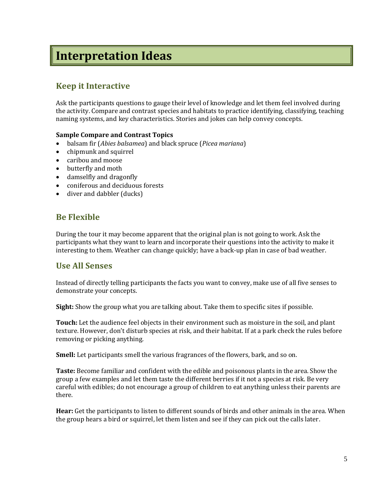## <span id="page-4-0"></span>**Interpretation Ideas**

## <span id="page-4-1"></span>**Keep it Interactive**

Ask the participants questions to gauge their level of knowledge and let them feel involved during the activity. Compare and contrast species and habitats to practice identifying, classifying, teaching naming systems, and key characteristics. Stories and jokes can help convey concepts.

## **Sample Compare and Contrast Topics**

- balsam fir (*Abies balsamea*) and black spruce (*Picea mariana*)
- chipmunk and squirrel
- caribou and moose
- butterfly and moth
- damselfly and dragonfly
- coniferous and deciduous forests
- diver and dabbler (ducks)

## <span id="page-4-2"></span>**Be Flexible**

During the tour it may become apparent that the original plan is not going to work. Ask the participants what they want to learn and incorporate their questions into the activity to make it interesting to them. Weather can change quickly; have a back-up plan in case of bad weather.

## <span id="page-4-3"></span>**Use All Senses**

Instead of directly telling participants the facts you want to convey, make use of all five senses to demonstrate your concepts.

**Sight:** Show the group what you are talking about. Take them to specific sites if possible.

**Touch:** Let the audience feel objects in their environment such as moisture in the soil, and plant texture. However, don't disturb species at risk, and their habitat. If at a park check the rules before removing or picking anything.

**Smell:** Let participants smell the various fragrances of the flowers, bark, and so on.

**Taste:** Become familiar and confident with the edible and poisonous plants in the area. Show the group a few examples and let them taste the different berries if it not a species at risk. Be very careful with edibles; do not encourage a group of children to eat anything unless their parents are there.

**Hear:** Get the participants to listen to different sounds of birds and other animals in the area. When the group hears a bird or squirrel, let them listen and see if they can pick out the calls later.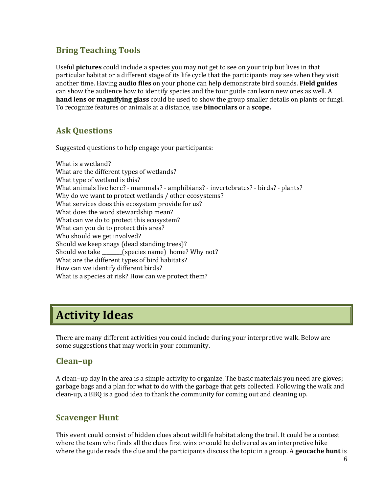## <span id="page-5-0"></span>**Bring Teaching Tools**

Useful **pictures** could include a species you may not get to see on your trip but lives in that particular habitat or a different stage of its life cycle that the participants may see when they visit another time. Having **audio files** on your phone can help demonstrate bird sounds. **Field guides** can show the audience how to identify species and the tour guide can learn new ones as well. A **hand lens or magnifying glass** could be used to show the group smaller details on plants or fungi. To recognize features or animals at a distance, use **binoculars** or a **scope.**

## <span id="page-5-1"></span>**Ask Questions**

Suggested questions to help engage your participants:

What is a wetland? What are the different types of wetlands? What type of wetland is this? What animals live here? - mammals? - amphibians? - invertebrates? - birds? - plants? Why do we want to protect wetlands / other ecosystems? What services does this ecosystem provide for us? What does the word stewardship mean? What can we do to protect this ecosystem? What can you do to protect this area? Who should we get involved? Should we keep snags (dead standing trees)? Should we take \_\_\_\_\_\_\_\_(species name) home? Why not? What are the different types of bird habitats? How can we identify different birds? What is a species at risk? How can we protect them?

## <span id="page-5-2"></span>**Activity Ideas**

There are many different activities you could include during your interpretive walk. Below are some suggestions that may work in your community.

## <span id="page-5-3"></span>**Clean–up**

A clean–up day in the area is a simple activity to organize. The basic materials you need are gloves; garbage bags and a plan for what to do with the garbage that gets collected. Following the walk and clean-up, a BBQ is a good idea to thank the community for coming out and cleaning up.

## <span id="page-5-4"></span>**Scavenger Hunt**

This event could consist of hidden clues about wildlife habitat along the trail. It could be a contest where the team who finds all the clues first wins or could be delivered as an interpretive hike where the guide reads the clue and the participants discuss the topic in a group. A **geocache hunt** is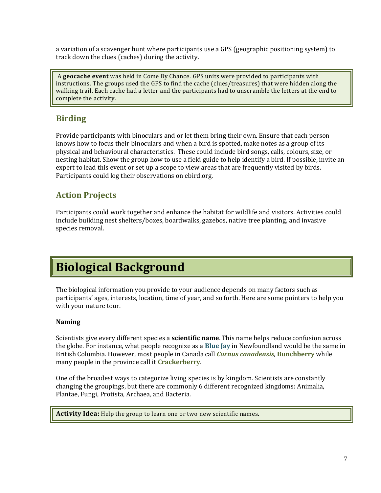a variation of a scavenger hunt where participants use a GPS (geographic positioning system) to track down the clues (caches) during the activity.

A **geocache event** was held in Come By Chance. GPS units were provided to participants with instructions. The groups used the GPS to find the cache (clues/treasures) that were hidden along the walking trail. Each cache had a letter and the participants had to unscramble the letters at the end to complete the activity.

## <span id="page-6-0"></span>**Birding**

Provide participants with binoculars and or let them bring their own. Ensure that each person knows how to focus their binoculars and when a bird is spotted, make notes as a group of its physical and behavioural characteristics. These could include bird songs, calls, colours, size, or nesting habitat. Show the group how to use a field guide to help identify a bird. If possible, invite an expert to lead this event or set up a scope to view areas that are frequently visited by birds. Participants could log their observations on ebird.org.

## <span id="page-6-1"></span>**Action Projects**

Participants could work together and enhance the habitat for wildlife and visitors. Activities could include building nest shelters/boxes, boardwalks, gazebos, native tree planting, and invasive species removal.

## <span id="page-6-2"></span>**Biological Background**

The biological information you provide to your audience depends on many factors such as participants' ages, interests, location, time of year, and so forth. Here are some pointers to help you with your nature tour.

## **Naming**

Scientists give every different species a **scientific name**. This name helps reduce confusion across the globe. For instance, what people recognize as a **Blue Jay** in Newfoundland would be the same in British Columbia. However, most people in Canada call *Cornus canadensis*, **Bunchberry** while many people in the province call it **Crackerberry**.

One of the broadest ways to categorize living species is by kingdom. Scientists are constantly changing the groupings, but there are commonly 6 different recognized kingdoms: Animalia, Plantae, Fungi, Protista, Archaea, and Bacteria.

**Activity Idea:** Help the group to learn one or two new scientific names.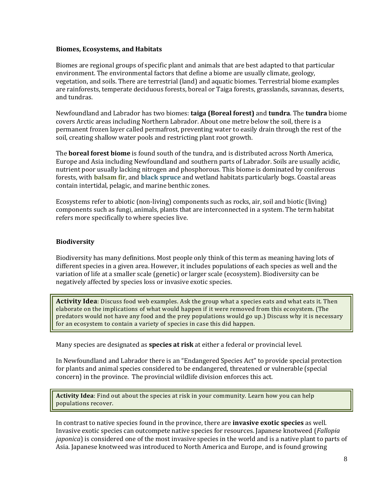#### **Biomes, Ecosystems, and Habitats**

Biomes are regional groups of specific plant and animals that are best adapted to that particular environment. The environmental factors that define a biome are usually climate, geology, vegetation, and soils. There are terrestrial (land) and aquatic biomes. Terrestrial biome examples are rainforests, temperate deciduous forests, boreal or Taiga forests, grasslands, savannas, deserts, and tundras.

Newfoundland and Labrador has two biomes: **taiga (Boreal forest)** and **tundra**. The **tundra** biome covers Arctic areas including Northern Labrador. About one metre below the soil, there is a permanent frozen layer called permafrost, preventing water to easily drain through the rest of the soil, creating shallow water pools and restricting plant root growth.

The **boreal forest biome** is found south of the tundra, and is distributed across North America, Europe and Asia including Newfoundland and southern parts of Labrador. Soils are usually acidic, nutrient poor usually lacking nitrogen and phosphorous. This biome is dominated by coniferous forests, with **balsam fir**, and **black spruce** and wetland habitats particularly bogs. Coastal areas contain intertidal, pelagic, and marine benthic zones.

Ecosystems refer to abiotic (non-living) components such as rocks, air, soil and biotic (living) components such as fungi, animals, plants that are interconnected in a system. The term habitat refers more specifically to where species live.

## **Biodiversity**

Biodiversity has many definitions. Most people only think of this term as meaning having lots of different species in a given area. However, it includes populations of each species as well and the variation of life at a smaller scale (genetic) or larger scale (ecosystem). Biodiversity can be negatively affected by species loss or invasive exotic species.

**Activity Idea**: Discuss food web examples. Ask the group what a species eats and what eats it. Then elaborate on the implications of what would happen if it were removed from this ecosystem. (The predators would not have any food and the prey populations would go up.) Discuss why it is necessary for an ecosystem to contain a variety of species in case this did happen.

Many species are designated as **species at risk** at either a federal or provincial level.

In Newfoundland and Labrador there is an "Endangered Species Act" to provide special protection for plants and animal species considered to be endangered, threatened or vulnerable (special concern) in the province. The provincial wildlife division enforces this act.

**Activity Idea**: Find out about the species at risk in your community. Learn how you can help populations recover.

In contrast to native species found in the province, there are **invasive exotic species** as well. Invasive exotic species can outcompete native species for resources. Japanese knotweed (*Fallopia japonica*) is considered one of the most invasive species in the world and is a native plant to parts of Asia. Japanese knotweed was introduced to North America and Europe, and is found growing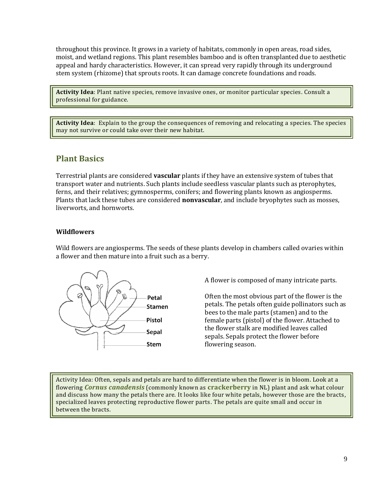throughout this province. It grows in a variety of habitats, commonly in open areas, road sides, moist, and wetland regions. This plant resembles bamboo and is often transplanted due to aesthetic appeal and hardy characteristics. However, it can spread very rapidly through its underground stem system (rhizome) that sprouts roots. It can damage concrete foundations and roads.

**Activity Idea**: Plant native species, remove invasive ones, or monitor particular species. Consult a professional for guidance.

**Activity Idea**: Explain to the group the consequences of removing and relocating a species. The species may not survive or could take over their new habitat.

## <span id="page-8-0"></span>**Plant Basics**

Terrestrial plants are considered **vascular** plants if they have an extensive system of tubes that transport water and nutrients. Such plants include seedless vascular plants such as pterophytes, ferns, and their relatives; gymnosperms, conifers; and flowering plants known as angiosperms. Plants that lack these tubes are considered **nonvascular**, and include bryophytes such as mosses, liverworts, and hornworts.

### **Wildflowers**

Wild flowers are angiosperms. The seeds of these plants develop in chambers called ovaries within a flower and then mature into a fruit such as a berry.



A flower is composed of many intricate parts.

Often the most obvious part of the flower is the petals. The petals often guide pollinators such as bees to the male parts (stamen) and to the female parts (pistol) of the flower. Attached to the flower stalk are modified leaves called sepals. Sepals protect the flower before flowering season.

Activity Idea: Often, sepals and petals are hard to differentiate when the flower is in bloom. Look at a flowering *Cornus canadensis* (commonly known as **crackerberry** in NL) plant and ask what colour and discuss how many the petals there are. It looks like four white petals, however those are the bracts, specialized leaves protecting reproductive flower parts. The petals are quite small and occur in between the bracts.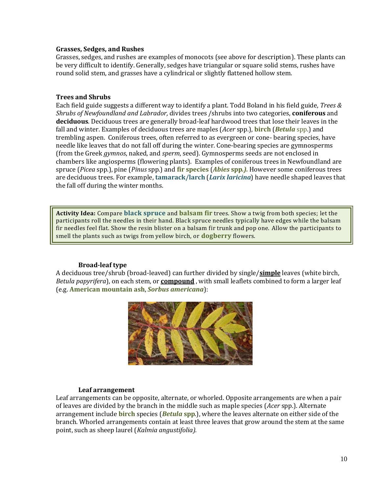#### **Grasses, Sedges, and Rushes**

Grasses, sedges, and rushes are examples of monocots (see above for description). These plants can be very difficult to identify. Generally, sedges have triangular or square solid stems, rushes have round solid stem, and grasses have a cylindrical or slightly flattened hollow stem.

#### **Trees and Shrubs**

Each field guide suggests a different way to identify a plant. Todd Boland in his field guide, *Trees & Shrubs of Newfoundland and Labrador,* divides trees /shrubs into two categories, **coniferous** and **deciduous**. Deciduous trees are generally broad-leaf hardwood trees that lose their leaves in the fall and winter. Examples of deciduous trees are maples (*Acer* spp.), **birch** (*Betula* spp.) and trembling aspen. Coniferous trees, often referred to as evergreen or cone- bearing species, have needle like leaves that do not fall off during the winter. Cone-bearing species are gymnosperms (from the Greek *gymnos*, naked, and *sperm*, seed). Gymnosperms seeds are not enclosed in chambers like angiosperms (flowering plants). Examples of coniferous trees in Newfoundland are spruce (*Picea* spp.), pine (*Pinus* spp.) and **fir species** (*Abies* **spp***.).* However some coniferous trees are deciduous trees. For example, **tamarack/larch** (*Larix laricina*) have needle shaped leaves that the fall off during the winter months.

**Activity Idea:** Compare **black spruce** and **balsam fir** trees. Show a twig from both species; let the participants roll the needles in their hand. Black spruce needles typically have edges while the balsam fir needles feel flat. Show the resin blister on a balsam fir trunk and pop one. Allow the participants to smell the plants such as twigs from yellow birch, or **dogberry** flowers.

#### **Broad-leaf type**

A deciduous tree/shrub (broad-leaved) can further divided by single/**simple** leaves (white birch, *Betula papyrifera*), on each stem, or **compound** , with small leaflets combined to form a larger leaf (e.g. **American mountain ash**, *Sorbus americana*):



#### **Leaf arrangement**

Leaf arrangements can be opposite, alternate, or whorled. Opposite arrangements are when a pair of leaves are divided by the branch in the middle such as maple species (*Acer* spp.). Alternate arrangement include **birch** species (*Betula* **spp**.), where the leaves alternate on either side of the branch. Whorled arrangements contain at least three leaves that grow around the stem at the same point, such as sheep laurel (*Kalmia angustifolia).*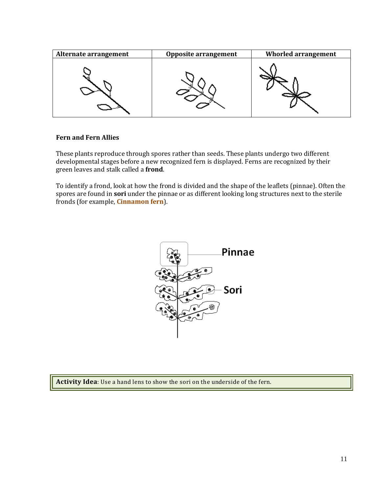| Alternate arrangement | <b>Opposite arrangement</b> | <b>Whorled arrangement</b> |
|-----------------------|-----------------------------|----------------------------|
|                       |                             |                            |

### **Fern and Fern Allies**

These plants reproduce through spores rather than seeds. These plants undergo two different developmental stages before a new recognized fern is displayed. Ferns are recognized by their green leaves and stalk called a **frond**.

To identify a frond, look at how the frond is divided and the shape of the leaflets (pinnae). Often the spores are found in **sori** under the pinnae or as different looking long structures next to the sterile fronds (for example, **Cinnamon fern**).



**Activity Idea**: Use a hand lens to show the sori on the underside of the fern.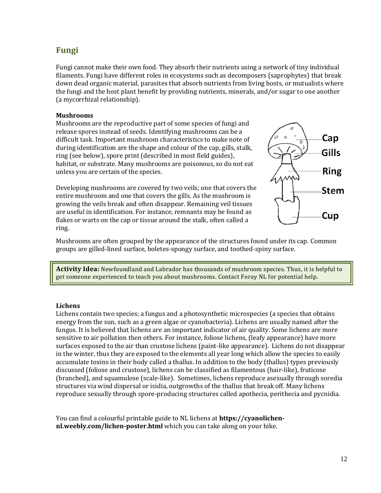## <span id="page-11-0"></span>**Fungi**

Fungi cannot make their own food. They absorb their nutrients using a network of tiny individual filaments. Fungi have different roles in ecosystems such as decomposers (saprophytes) that break down dead organic material, parasites that absorb nutrients from living hosts, or mutualists where the fungi and the host plant benefit by providing nutrients, minerals, and/or sugar to one another (a mycorrhizal relationship).

#### **Mushrooms**

Mushrooms are the reproductive part of some species of fungi and release spores instead of seeds. Identifying mushrooms can be a difficult task. Important mushroom characteristics to make note of during identification are the shape and colour of the cap, gills, stalk, ring (see below), spore print (described in most field guides), habitat, or substrate. Many mushrooms are poisonous, so do not eat unless you are certain of the species.

Developing mushrooms are covered by two veils; one that covers the entire mushroom and one that covers the gills. As the mushroom is growing the veils break and often disappear. Remaining veil tissues are useful in identification. For instance, remnants may be found as flakes or warts on the cap or tissue around the stalk, often called a ring.



Mushrooms are often grouped by the appearance of the structures found under its cap. Common groups are gilled-lined surface, boletes-spongy surface, and toothed-spiny surface.

**Activity Idea:** Newfoundland and Labrador has thousands of mushroom species. Thus, it is helpful to get someone experienced to teach you about mushrooms. Contact Foray NL for potential help.

#### **Lichens**

Lichens contain two species; a fungus and a photosynthetic microspecies (a species that obtains energy from the sun, such as a green algae or cyanobacteria). Lichens are usually named after the fungus. It is believed that lichens are an important indicator of air quality. Some lichens are more sensitive to air pollution then others. For instance, foliose lichens, (leafy appearance) have more surfaces exposed to the air than crustose lichens (paint-like appearance). Lichens do not disappear in the winter, thus they are exposed to the elements all year long which allow the species to easily accumulate toxins in their body called a thallus. In addition to the body (thallus) types previously discussed (foliose and crustose), lichens can be classified as filamentous (hair-like), fruticose (branched), and squamulose (scale-like). Sometimes, lichens reproduce asexually through soredia structures via wind dispersal or isidia, outgrowths of the thallus that break off. Many lichens reproduce sexually through spore-producing structures called apothecia, perithecia and pycnidia.

You can find a colourful printable guide to NL lichens at **https://cyanolichennl.weebly.com/lichen-poster.html** which you can take along on your hike.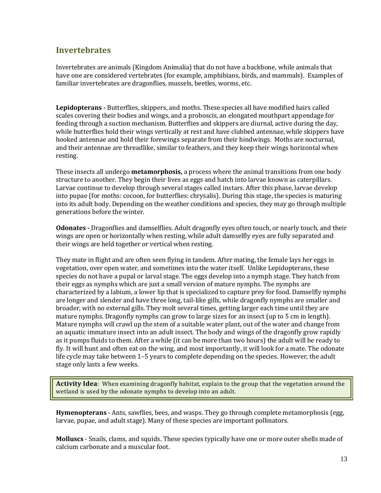## <span id="page-12-0"></span>**Invertebrates**

Invertebrates are animals (Kingdom Animalia) that do not have a backbone, while animals that have one are considered vertebrates (for example, amphibians, birds, and mammals). Examples of familiar invertebrates are dragonflies, mussels, beetles, worms, etc.

**Lepidopterans -** Butterflies, skippers, and moths. These species all have modified hairs called scales covering their bodies and wings, and a proboscis, an elongated mouthpart appendage for feeding through a suction mechanism. Butterflies and skippers are diurnal, active during the day, while butterflies hold their wings vertically at rest and have clubbed antennae, while skippers have hooked antennae and hold their forewings separate from their hindwings. Moths are nocturnal, and their antennae are threadlike, similar to feathers, and they keep their wings horizontal when resting.

These insects all undergo **metamorphosis,** a process where the animal transitions from one body structure to another. They begin their lives as eggs and hatch into larvae known as caterpillars. Larvae continue to develop through several stages called instars. After this phase, larvae develop into pupae (for moths: cocoon, for butterflies: chrysalis). During this stage, the species is maturing into its adult body. Depending on the weather conditions and species, they may go through multiple generations before the winter.

**Odonates -** Dragonflies and damselflies. Adult dragonfly eyes often touch, or nearly touch, and their wings are open or horizontally when resting, while adult damselfly eyes are fully separated and their wings are held together or vertical when resting.

They mate in flight and are often seen flying in tandem. After mating, the female lays her eggs in vegetation, over open water, and sometimes into the water itself. Unlike Lepidopterans, these species do not have a pupal or larval stage. The eggs develop into a nymph stage. They hatch from their eggs as nymphs which are just a small version of mature nymphs. The nymphs are characterized by a labium, a lower lip that is specialized to capture prey for food. Damselfly nymphs are longer and slender and have three long, tail-like gills, while dragonfly nymphs are smaller and broader, with no external gills. They molt several times, getting larger each time until they are mature nymphs. Dragonfly nymphs can grow to large sizes for an insect (up to 5 cm in length). Mature nymphs will crawl up the stem of a suitable water plant, out of the water and change from an aquatic immature insect into an adult insect. The body and wings of the dragonfly grow rapidly as it pumps fluids to them. After a while (it can be more than two hours) the adult will be ready to fly. It will hunt and often eat on the wing, and most importantly, it will look for a mate. The odonate life cycle may take between 1–5 years to complete depending on the species. However, the adult stage only lasts a few weeks.

**Activity Idea**: When examining dragonfly habitat, explain to the group that the vegetation around the wetland is used by the odonate nymphs to develop into an adult.

**Hymenopterans** - Ants, sawflies, bees, and wasps. They go through complete metamorphosis (egg, larvae, pupae, and adult stage). Many of these species are important pollinators.

**Molluscs** - Snails, clams, and squids. These species typically have one or more outer shells made of calcium carbonate and a muscular foot.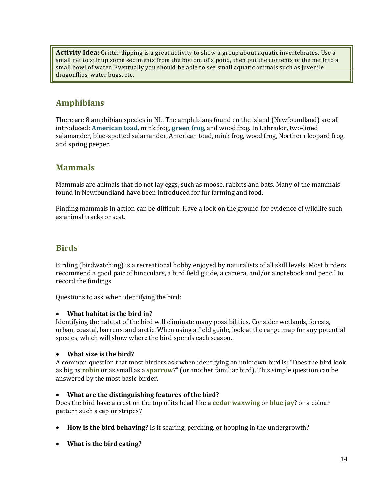**Activity Idea:** Critter dipping is a great activity to show a group about aquatic invertebrates. Use a small net to stir up some sediments from the bottom of a pond, then put the contents of the net into a small bowl of water. Eventually you should be able to see small aquatic animals such as juvenile dragonflies, water bugs, etc.

## <span id="page-13-0"></span>**Amphibians**

There are 8 amphibian species in NL. The amphibians found on the island (Newfoundland) are all introduced; **American toad**, mink frog, **green frog**, and wood frog. In Labrador, two-lined salamander, blue-spotted salamander, American toad, mink frog, wood frog, Northern leopard frog, and spring peeper.

## <span id="page-13-1"></span>**Mammals**

Mammals are animals that do not lay eggs, such as moose, rabbits and bats. Many of the mammals found in Newfoundland have been introduced for fur farming and food.

Finding mammals in action can be difficult. Have a look on the ground for evidence of wildlife such as animal tracks or scat.

## <span id="page-13-2"></span>**Birds**

Birding (birdwatching) is a recreational hobby enjoyed by naturalists of all skill levels. Most birders recommend a good pair of binoculars, a bird field guide, a camera, and/or a notebook and pencil to record the findings.

Questions to ask when identifying the bird:

## • **What habitat is the bird in?**

Identifying the habitat of the bird will eliminate many possibilities. Consider wetlands, forests, urban, coastal, barrens, and arctic. When using a field guide, look at the range map for any potential species, which will show where the bird spends each season.

## • **What size is the bird?**

A common question that most birders ask when identifying an unknown bird is: "Does the bird look as big as **robin** or as small as a **sparrow**?" (or another familiar bird). This simple question can be answered by the most basic birder.

#### • **What are the distinguishing features of the bird?**

Does the bird have a crest on the top of its head like a **cedar waxwing** or **blue jay**? or a colour pattern such a cap or stripes?

- **How is the bird behaving?** Is it soaring, perching, or hopping in the undergrowth?
- **What is the bird eating?**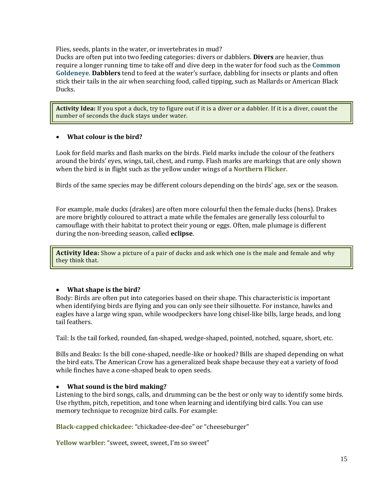Flies, seeds, plants in the water, or invertebrates in mud?

Ducks are often put into two feeding categories: divers or dabblers. **Divers** are heavier, thus require a longer running time to take off and dive deep in the water for food such as the **Common Goldeneye**. **Dabblers** tend to feed at the water's surface, dabbling for insects or plants and often stick their tails in the air when searching food, called tipping, such as Mallards or American Black Ducks.

**Activity Idea:** If you spot a duck, try to figure out if it is a diver or a dabbler. If it is a diver, count the number of seconds the duck stays under water.

## • **What colour is the bird?**

Look for field marks and flash marks on the birds. Field marks include the colour of the feathers around the birds' eyes, wings, tail, chest, and rump. Flash marks are markings that are only shown when the bird is in flight such as the yellow under wings of a **Northern Flicker**.

Birds of the same species may be different colours depending on the birds' age, sex or the season.

For example, male ducks (drakes) are often more colourful then the female ducks (hens). Drakes are more brightly coloured to attract a mate while the females are generally less colourful to camouflage with their habitat to protect their young or eggs. Often, male plumage is different during the non-breeding season, called **eclipse**.

**Activity Idea:** Show a picture of a pair of ducks and ask which one is the male and female and why they think that.

## • **What shape is the bird?**

Body: Birds are often put into categories based on their shape. This characteristic is important when identifying birds are flying and you can only see their silhouette. For instance, hawks and eagles have a large wing span, while woodpeckers have long chisel-like bills, large heads, and long tail feathers.

Tail: Is the tail forked, rounded, fan-shaped, wedge-shaped, pointed, notched, square, short, etc.

Bills and Beaks: Is the bill cone-shaped, needle-like or hooked? Bills are shaped depending on what the bird eats. The American Crow has a generalized beak shape because they eat a variety of food while finches have a cone-shaped beak to open seeds.

## • **What sound is the bird making?**

Listening to the bird songs, calls, and drumming can be the best or only way to identify some birds. Use rhythm, pitch, repetition, and tone when learning and identifying bird calls. You can use memory technique to recognize bird calls. For example:

**Black-capped chickadee**: "chickadee-dee-dee" or "cheeseburger"

**Yellow warbler**: "sweet, sweet, sweet, I'm so sweet"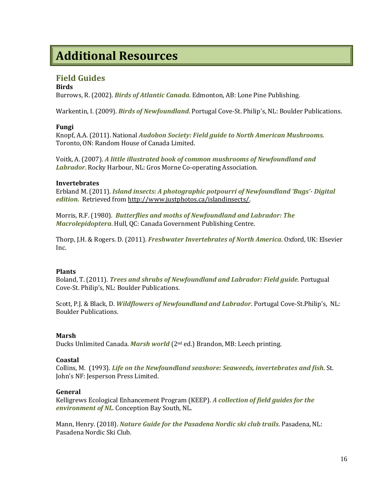## <span id="page-15-0"></span>**Additional Resources**

## <span id="page-15-1"></span>**Field Guides**

#### **Birds**

Burrows, R. (2002). *Birds of Atlantic Canada*. Edmonton, AB: Lone Pine Publishing.

Warkentin, I. (2009). *Birds of Newfoundland*. Portugal Cove-St. Philip's, NL: Boulder Publications.

### **Fungi**

Knopf, A.A. (2011). National *Audobon Society: Field guide to North American Mushrooms.*  Toronto, ON: Random House of Canada Limited.

Voitk, A. (2007). *A little illustrated book of common mushrooms of Newfoundland and Labrador*. Rocky Harbour, NL: Gros Morne Co-operating Association.

#### **Invertebrates**

Erbland M. (2011). *Island insects: A photographic potpourri of Newfoundland 'Bugs'- Digital edition.* Retrieved fro[m http://www.justphotos.ca/islandinsects/.](http://www.justphotos.ca/islandinsects/)

Morris, R.F. (1980). *Butterflies and moths of Newfoundland and Labrador: The Macrolepidoptera*. Hull, QC: Canada Government Publishing Centre.

Thorp, J.H. & Rogers. D. (2011). *Freshwater Invertebrates of North America*. Oxford, UK: Elsevier Inc.

#### **Plants**

Boland, T. (2011). *Trees and shrubs of Newfoundland and Labrador: Field guide*. Portugual Cove-St. Philip's, NL: Boulder Publications.

Scott, P.J. & Black, D. *Wildflowers of Newfoundland and Labrador*. Portugal Cove-St.Philip's, NL: Boulder Publications.

#### **Marsh**

Ducks Unlimited Canada. *Marsh world* (2nd ed.) Brandon, MB: Leech printing.

#### **Coastal**

Collins, M. (1993). *Life on the Newfoundland seashore: Seaweeds, invertebrates and fish*. St. John's NF: Jesperson Press Limited.

#### **General**

Kelligrews Ecological Enhancement Program (KEEP). *A collection of field guides for the environment of NL.* Conception Bay South, NL.

Mann, Henry. (2018). *Nature Guide for the Pasadena Nordic ski club trails*. Pasadena, NL: Pasadena Nordic Ski Club.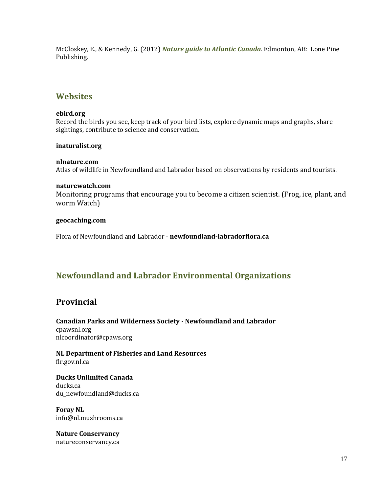McCloskey, E., & Kennedy, G. (2012) *Nature guide to Atlantic Canada*. Edmonton, AB: Lone Pine Publishing.

## <span id="page-16-0"></span>**Websites**

#### **[ebird.org](http://www.ebird.org/)**

Record the birds you see, keep track of your bird lists, explore dynamic maps and graphs, share sightings, contribute to science and conservation.

#### **inaturalist.org**

### **[nlnature.com](http://www.nlnature.com/)**

Atlas of wildlife in Newfoundland and Labrador based on observations by residents and tourists.

#### **[naturewatch.com](http://www.naturewatch.com/)**

Monitoring programs that encourage you to become a citizen scientist. (Frog, ice, plant, and worm Watch)

#### **[geocaching.com](http://www.geocaching.com/)**

Flora of Newfoundland and Labrador - **newfoundland-labradorflora.ca**

## <span id="page-16-1"></span>**Newfoundland and Labrador Environmental Organizations**

## **Provincial**

**Canadian Parks and Wilderness Society - Newfoundland and Labrador** cpawsnl.org nlcoordinator@cpaws.org

**NL Department of Fisheries and Land Resources** flr.gov.nl.ca

**Ducks Unlimited Canada** ducks.ca du\_newfoundland@ducks.ca

**Foray NL** info@nl.mushrooms.ca

**Nature Conservancy** [natureconservancy.ca](http://www.natureconservancy.ca/en/)